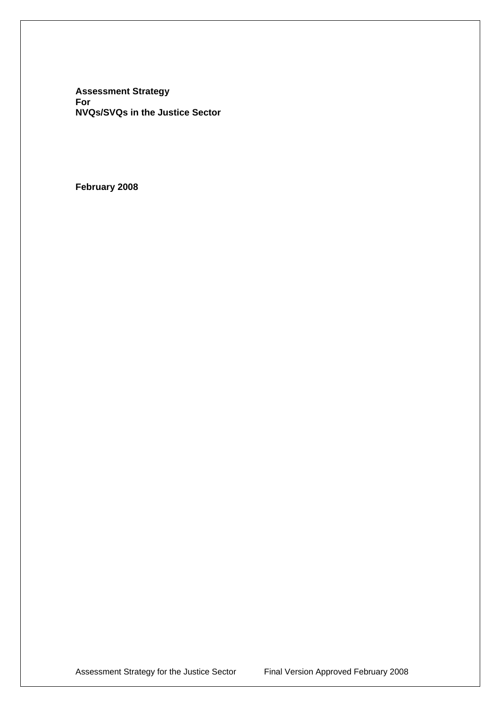**Assessment Strategy For NVQs/SVQs in the Justice Sector** 

**February 2008**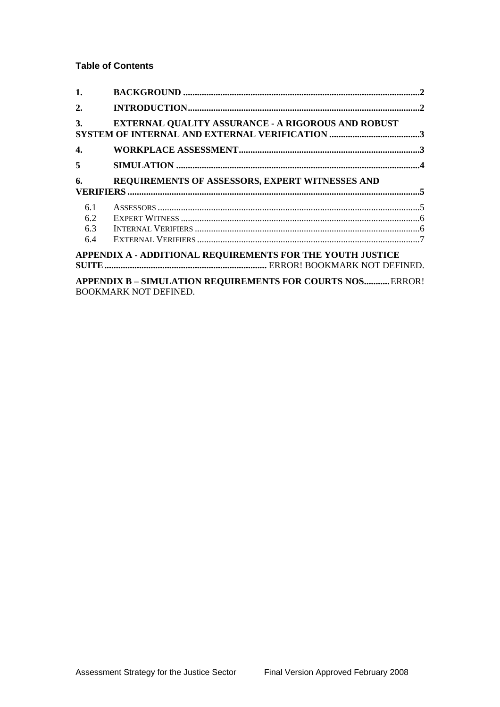# **Table of Contents**

| 1.  |                                                                                                   |  |
|-----|---------------------------------------------------------------------------------------------------|--|
| 2.  |                                                                                                   |  |
| 3.  | <b>EXTERNAL QUALITY ASSURANCE - A RIGOROUS AND ROBUST</b>                                         |  |
| 4.  |                                                                                                   |  |
| 5   |                                                                                                   |  |
| 6.  | REQUIREMENTS OF ASSESSORS, EXPERT WITNESSES AND                                                   |  |
| 6.1 |                                                                                                   |  |
| 6.2 |                                                                                                   |  |
| 6.3 |                                                                                                   |  |
| 6.4 |                                                                                                   |  |
|     | APPENDIX A - ADDITIONAL REQUIREMENTS FOR THE YOUTH JUSTICE                                        |  |
|     | <b>APPENDIX B - SIMULATION REQUIREMENTS FOR COURTS NOS ERROR!</b><br><b>BOOKMARK NOT DEFINED.</b> |  |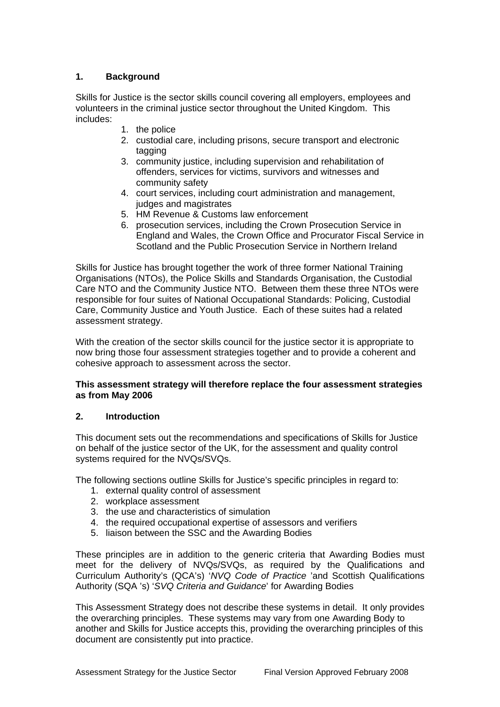# <span id="page-2-0"></span>**1. Background**

Skills for Justice is the sector skills council covering all employers, employees and volunteers in the criminal justice sector throughout the United Kingdom. This includes:

- 1. the police
- 2. custodial care, including prisons, secure transport and electronic tagging
- 3. community justice, including supervision and rehabilitation of offenders, services for victims, survivors and witnesses and community safety
- 4. court services, including court administration and management, judges and magistrates
- 5. HM Revenue & Customs law enforcement
- 6. prosecution services, including the Crown Prosecution Service in England and Wales, the Crown Office and Procurator Fiscal Service in Scotland and the Public Prosecution Service in Northern Ireland

Skills for Justice has brought together the work of three former National Training Organisations (NTOs), the Police Skills and Standards Organisation, the Custodial Care NTO and the Community Justice NTO. Between them these three NTOs were responsible for four suites of National Occupational Standards: Policing, Custodial Care, Community Justice and Youth Justice. Each of these suites had a related assessment strategy.

With the creation of the sector skills council for the justice sector it is appropriate to now bring those four assessment strategies together and to provide a coherent and cohesive approach to assessment across the sector.

#### **This assessment strategy will therefore replace the four assessment strategies as from May 2006**

## **2. Introduction**

This document sets out the recommendations and specifications of Skills for Justice on behalf of the justice sector of the UK, for the assessment and quality control systems required for the NVQs/SVQs.

The following sections outline Skills for Justice's specific principles in regard to:

- 1. external quality control of assessment
- 2. workplace assessment
- 3. the use and characteristics of simulation
- 4. the required occupational expertise of assessors and verifiers
- 5. liaison between the SSC and the Awarding Bodies

These principles are in addition to the generic criteria that Awarding Bodies must meet for the delivery of NVQs/SVQs, as required by the Qualifications and Curriculum Authority's (QCA's) '*NVQ Code of Practice* 'and Scottish Qualifications Authority (SQA 's) '*SVQ Criteria and Guidance*' for Awarding Bodies

This Assessment Strategy does not describe these systems in detail. It only provides the overarching principles. These systems may vary from one Awarding Body to another and Skills for Justice accepts this, providing the overarching principles of this document are consistently put into practice.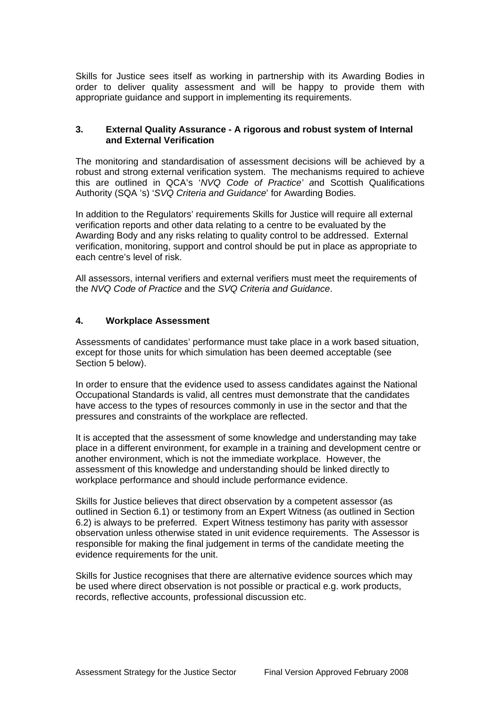<span id="page-3-0"></span>Skills for Justice sees itself as working in partnership with its Awarding Bodies in order to deliver quality assessment and will be happy to provide them with appropriate guidance and support in implementing its requirements.

### **3. External Quality Assurance - A rigorous and robust system of Internal and External Verification**

The monitoring and standardisation of assessment decisions will be achieved by a robust and strong external verification system. The mechanisms required to achieve this are outlined in QCA's '*NVQ Code of Practice' a*nd Scottish Qualifications Authority (SQA 's) '*SVQ Criteria and Guidance*' for Awarding Bodies.

In addition to the Regulators' requirements Skills for Justice will require all external verification reports and other data relating to a centre to be evaluated by the Awarding Body and any risks relating to quality control to be addressed. External verification, monitoring, support and control should be put in place as appropriate to each centre's level of risk.

All assessors, internal verifiers and external verifiers must meet the requirements of the *NVQ Code of Practice* and the *SVQ Criteria and Guidance*.

#### **4. Workplace Assessment**

Assessments of candidates' performance must take place in a work based situation, except for those units for which simulation has been deemed acceptable (see Section 5 below).

In order to ensure that the evidence used to assess candidates against the National Occupational Standards is valid, all centres must demonstrate that the candidates have access to the types of resources commonly in use in the sector and that the pressures and constraints of the workplace are reflected.

It is accepted that the assessment of some knowledge and understanding may take place in a different environment, for example in a training and development centre or another environment, which is not the immediate workplace. However, the assessment of this knowledge and understanding should be linked directly to workplace performance and should include performance evidence.

Skills for Justice believes that direct observation by a competent assessor (as outlined in Section 6.1) or testimony from an Expert Witness (as outlined in Section 6.2) is always to be preferred. Expert Witness testimony has parity with assessor observation unless otherwise stated in unit evidence requirements. The Assessor is responsible for making the final judgement in terms of the candidate meeting the evidence requirements for the unit.

Skills for Justice recognises that there are alternative evidence sources which may be used where direct observation is not possible or practical e.g. work products, records, reflective accounts, professional discussion etc.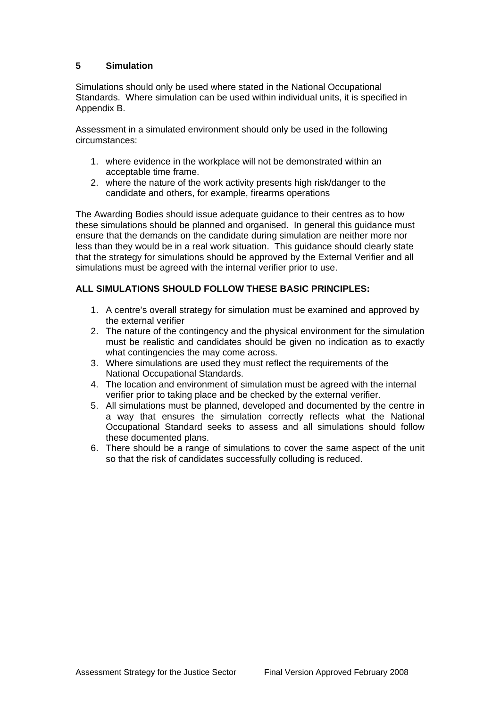## <span id="page-4-0"></span>**5 Simulation**

Simulations should only be used where stated in the National Occupational Standards. Where simulation can be used within individual units, it is specified in Appendix B.

Assessment in a simulated environment should only be used in the following circumstances:

- 1. where evidence in the workplace will not be demonstrated within an acceptable time frame.
- 2. where the nature of the work activity presents high risk/danger to the candidate and others, for example, firearms operations

The Awarding Bodies should issue adequate guidance to their centres as to how these simulations should be planned and organised. In general this guidance must ensure that the demands on the candidate during simulation are neither more nor less than they would be in a real work situation. This guidance should clearly state that the strategy for simulations should be approved by the External Verifier and all simulations must be agreed with the internal verifier prior to use.

# **ALL SIMULATIONS SHOULD FOLLOW THESE BASIC PRINCIPLES:**

- 1. A centre's overall strategy for simulation must be examined and approved by the external verifier
- 2. The nature of the contingency and the physical environment for the simulation must be realistic and candidates should be given no indication as to exactly what contingencies the may come across.
- 3. Where simulations are used they must reflect the requirements of the National Occupational Standards.
- 4. The location and environment of simulation must be agreed with the internal verifier prior to taking place and be checked by the external verifier.
- 5. All simulations must be planned, developed and documented by the centre in a way that ensures the simulation correctly reflects what the National Occupational Standard seeks to assess and all simulations should follow these documented plans.
- 6. There should be a range of simulations to cover the same aspect of the unit so that the risk of candidates successfully colluding is reduced.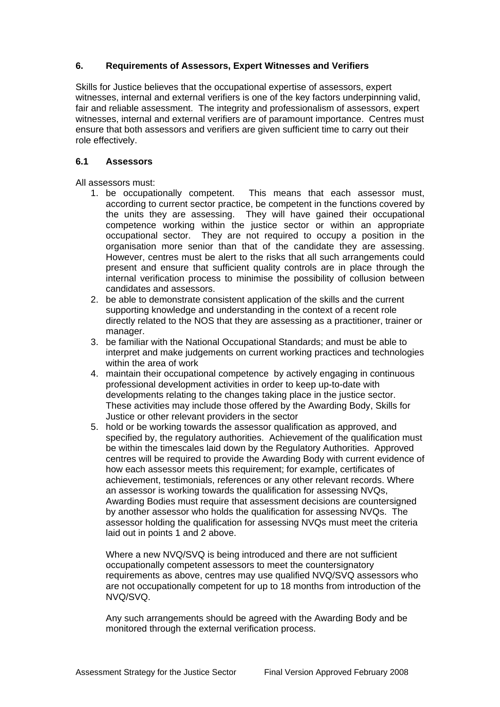## <span id="page-5-0"></span>**6. Requirements of Assessors, Expert Witnesses and Verifiers**

Skills for Justice believes that the occupational expertise of assessors, expert witnesses, internal and external verifiers is one of the key factors underpinning valid, fair and reliable assessment. The integrity and professionalism of assessors, expert witnesses, internal and external verifiers are of paramount importance. Centres must ensure that both assessors and verifiers are given sufficient time to carry out their role effectively.

## **6.1 Assessors**

All assessors must:

- 1. be occupationally competent. This means that each assessor must, according to current sector practice, be competent in the functions covered by the units they are assessing. They will have gained their occupational competence working within the justice sector or within an appropriate occupational sector. They are not required to occupy a position in the organisation more senior than that of the candidate they are assessing. However, centres must be alert to the risks that all such arrangements could present and ensure that sufficient quality controls are in place through the internal verification process to minimise the possibility of collusion between candidates and assessors.
- 2. be able to demonstrate consistent application of the skills and the current supporting knowledge and understanding in the context of a recent role directly related to the NOS that they are assessing as a practitioner, trainer or manager.
- 3. be familiar with the National Occupational Standards; and must be able to interpret and make judgements on current working practices and technologies within the area of work
- 4. maintain their occupational competence by actively engaging in continuous professional development activities in order to keep up-to-date with developments relating to the changes taking place in the justice sector. These activities may include those offered by the Awarding Body, Skills for Justice or other relevant providers in the sector
- 5. hold or be working towards the assessor qualification as approved, and specified by, the regulatory authorities. Achievement of the qualification must be within the timescales laid down by the Regulatory Authorities. Approved centres will be required to provide the Awarding Body with current evidence of how each assessor meets this requirement; for example, certificates of achievement, testimonials, references or any other relevant records. Where an assessor is working towards the qualification for assessing NVQs, Awarding Bodies must require that assessment decisions are countersigned by another assessor who holds the qualification for assessing NVQs. The assessor holding the qualification for assessing NVQs must meet the criteria laid out in points 1 and 2 above.

Where a new NVQ/SVQ is being introduced and there are not sufficient occupationally competent assessors to meet the countersignatory requirements as above, centres may use qualified NVQ/SVQ assessors who are not occupationally competent for up to 18 months from introduction of the NVQ/SVQ.

Any such arrangements should be agreed with the Awarding Body and be monitored through the external verification process.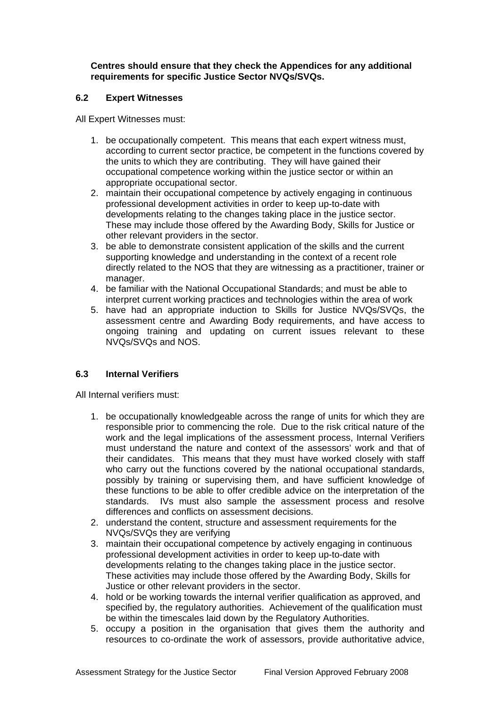<span id="page-6-0"></span>**Centres should ensure that they check the Appendices for any additional requirements for specific Justice Sector NVQs/SVQs.** 

### **6.2 Expert Witnesses**

All Expert Witnesses must:

- 1. be occupationally competent. This means that each expert witness must, according to current sector practice, be competent in the functions covered by the units to which they are contributing. They will have gained their occupational competence working within the justice sector or within an appropriate occupational sector.
- 2. maintain their occupational competence by actively engaging in continuous professional development activities in order to keep up-to-date with developments relating to the changes taking place in the justice sector. These may include those offered by the Awarding Body, Skills for Justice or other relevant providers in the sector.
- 3. be able to demonstrate consistent application of the skills and the current supporting knowledge and understanding in the context of a recent role directly related to the NOS that they are witnessing as a practitioner, trainer or manager.
- 4. be familiar with the National Occupational Standards; and must be able to interpret current working practices and technologies within the area of work
- 5. have had an appropriate induction to Skills for Justice NVQs/SVQs, the assessment centre and Awarding Body requirements, and have access to ongoing training and updating on current issues relevant to these NVQs/SVQs and NOS.

## **6.3 Internal Verifiers**

All Internal verifiers must:

- 1. be occupationally knowledgeable across the range of units for which they are responsible prior to commencing the role. Due to the risk critical nature of the work and the legal implications of the assessment process, Internal Verifiers must understand the nature and context of the assessors' work and that of their candidates. This means that they must have worked closely with staff who carry out the functions covered by the national occupational standards, possibly by training or supervising them, and have sufficient knowledge of these functions to be able to offer credible advice on the interpretation of the standards. IVs must also sample the assessment process and resolve differences and conflicts on assessment decisions.
- 2. understand the content, structure and assessment requirements for the NVQs/SVQs they are verifying
- 3. maintain their occupational competence by actively engaging in continuous professional development activities in order to keep up-to-date with developments relating to the changes taking place in the justice sector. These activities may include those offered by the Awarding Body, Skills for Justice or other relevant providers in the sector.
- 4. hold or be working towards the internal verifier qualification as approved, and specified by, the regulatory authorities. Achievement of the qualification must be within the timescales laid down by the Regulatory Authorities.
- 5. occupy a position in the organisation that gives them the authority and resources to co-ordinate the work of assessors, provide authoritative advice,